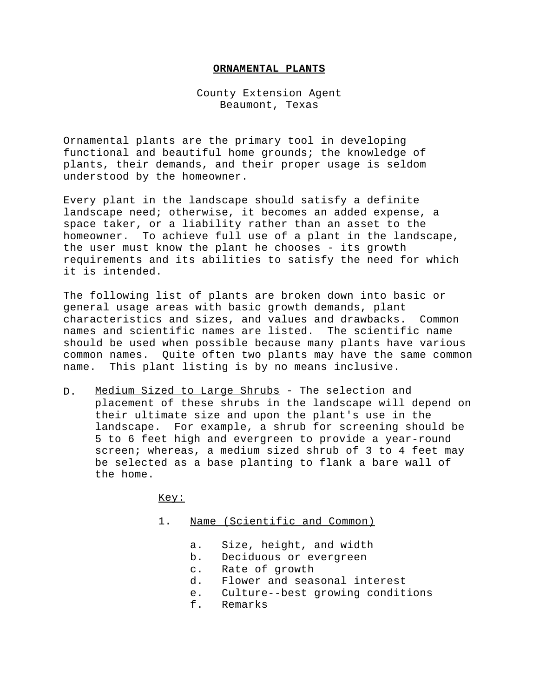## **ORNAMENTAL PLANTS**

County Extension Agent Beaumont, Texas

Ornamental plants are the primary tool in developing functional and beautiful home grounds; the knowledge of plants, their demands, and their proper usage is seldom understood by the homeowner.

Every plant in the landscape should satisfy a definite landscape need; otherwise, it becomes an added expense, a space taker, or a liability rather than an asset to the homeowner. To achieve full use of a plant in the landscape, the user must know the plant he chooses - its growth requirements and its abilities to satisfy the need for which it is intended.

The following list of plants are broken down into basic or general usage areas with basic growth demands, plant characteristics and sizes, and values and drawbacks. Common names and scientific names are listed. The scientific name should be used when possible because many plants have various common names. Quite often two plants may have the same common name. This plant listing is by no means inclusive.

D. Medium Sized to Large Shrubs - The selection and placement of these shrubs in the landscape will depend on their ultimate size and upon the plant's use in the landscape. For example, a shrub for screening should be 5 to 6 feet high and evergreen to provide a year-round screen; whereas, a medium sized shrub of 3 to 4 feet may be selected as a base planting to flank a bare wall of the home.

Key:

- 1. Name (Scientific and Common)
	- a. Size, height, and width
	- b. Deciduous or evergreen
	- c. Rate of growth
	- d. Flower and seasonal interest
	- e. Culture--best growing conditions
	- f. Remarks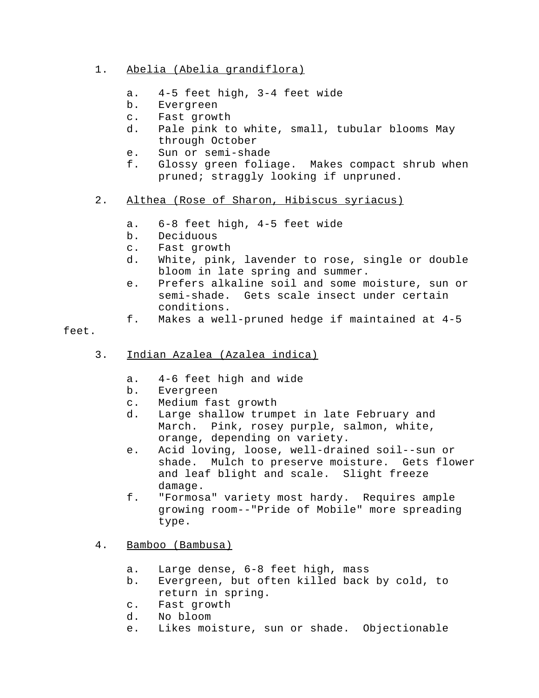- 1. Abelia (Abelia grandiflora)
	- a. 4-5 feet high, 3-4 feet wide
	- b. Evergreen
	- c. Fast growth
	- d. Pale pink to white, small, tubular blooms May through October
	- e. Sun or semi-shade
	- f. Glossy green foliage. Makes compact shrub when pruned; straggly looking if unpruned.
- 2. Althea (Rose of Sharon, Hibiscus syriacus)
	- a. 6-8 feet high, 4-5 feet wide
	- b. Deciduous
	- c. Fast growth
	- d. White, pink, lavender to rose, single or double bloom in late spring and summer.
	- e. Prefers alkaline soil and some moisture, sun or semi-shade. Gets scale insect under certain conditions.
	- f. Makes a well-pruned hedge if maintained at 4-5

## feet.

- 3. Indian Azalea (Azalea indica)
	- a. 4-6 feet high and wide
	- b. Evergreen
	- c. Medium fast growth
	- d. Large shallow trumpet in late February and March. Pink, rosey purple, salmon, white, orange, depending on variety.
	- e. Acid loving, loose, well-drained soil--sun or shade. Mulch to preserve moisture. Gets flower and leaf blight and scale. Slight freeze damage.
	- f. "Formosa" variety most hardy. Requires ample growing room--"Pride of Mobile" more spreading type.
- 4. Bamboo (Bambusa)
	- a. Large dense, 6-8 feet high, mass
	- b. Evergreen, but often killed back by cold, to return in spring.
	- c. Fast growth
	- d. No bloom
	- e. Likes moisture, sun or shade. Objectionable